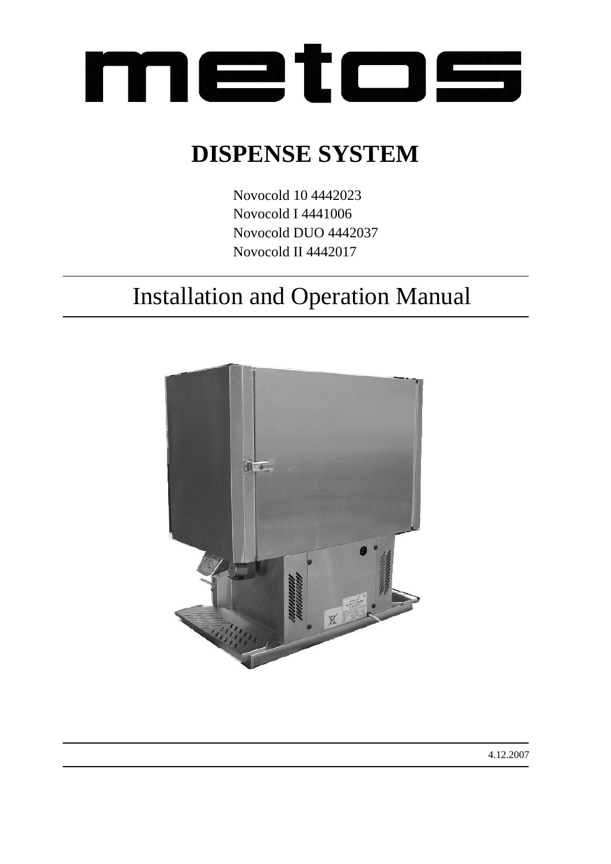

# **DISPENSE SYSTEM**

Novocold 10 4442023 Novocold I 4441006 Novocold DUO 4442037 Novocold II 4442017

# Installation and Operation Manual



4.12.2007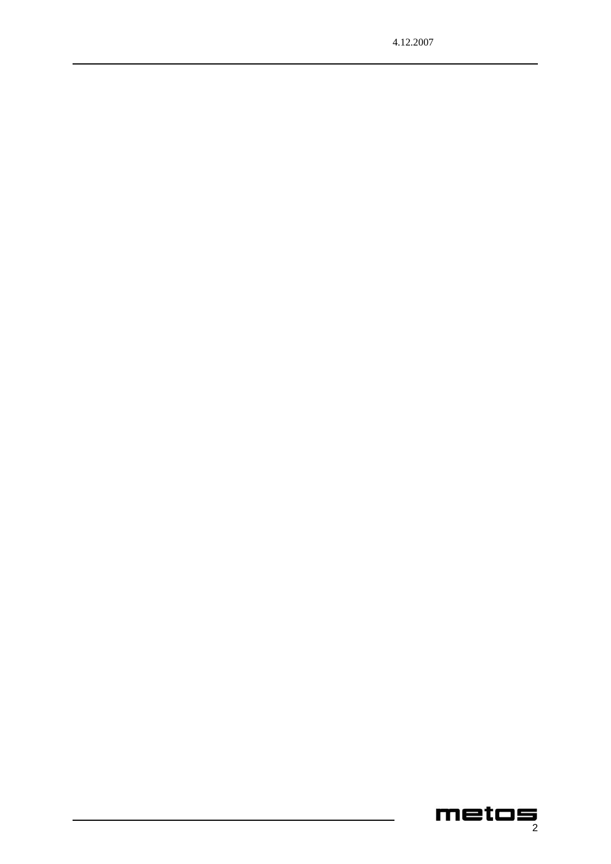4.12.2007

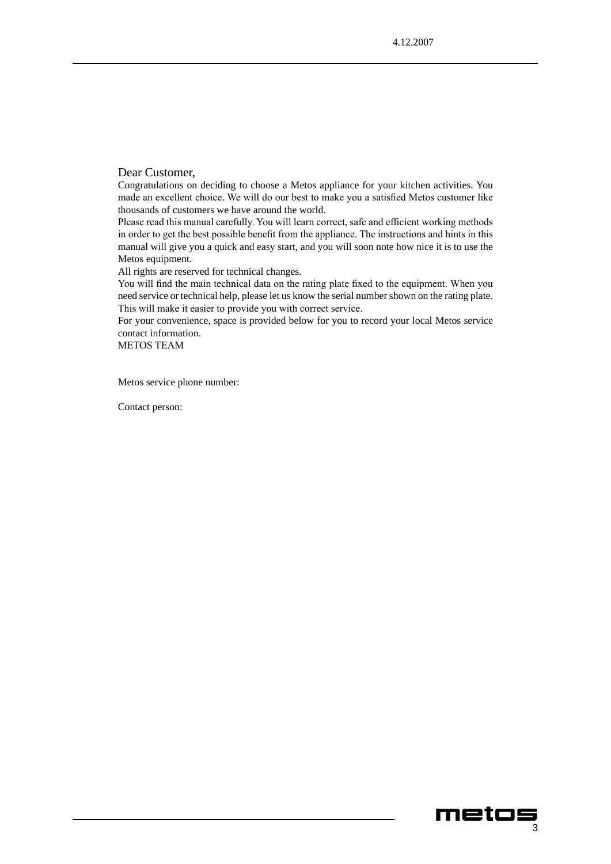#### Dear Customer,

Congratulations on deciding to choose a Metos appliance for your kitchen activities. You made an excellent choice. We will do our best to make you a satisfied Metos customer like thousands of customers we have around the world.

Please read this manual carefully. You will learn correct, safe and efficient working methods in order to get the best possible benefit from the appliance. The instructions and hints in this manual will give you a quick and easy start, and you will soon note how nice it is to use the Metos equipment.

All rights are reserved for technical changes.

You will find the main technical data on the rating plate fixed to the equipment. When you need service or technical help, please let us know the serial number shown on the rating plate. This will make it easier to provide you with correct service.

For your convenience, space is provided below for you to record your local Metos service contact information.

METOS TEAM

Metos service phone number:

Contact person:

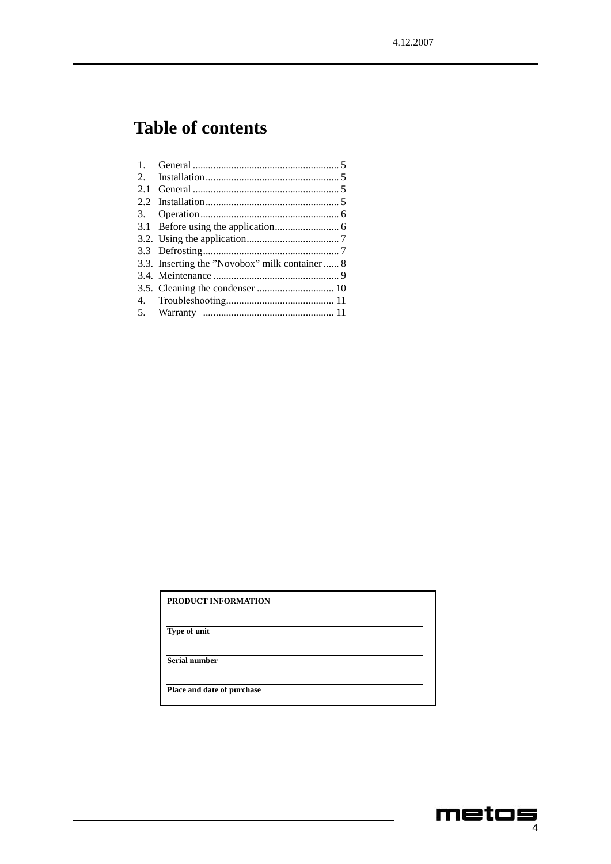# **Table of contents**

| $\mathbf{1}$ . |                                                |
|----------------|------------------------------------------------|
|                |                                                |
| 2.1            |                                                |
|                |                                                |
|                |                                                |
|                |                                                |
|                |                                                |
|                |                                                |
|                | 3.3. Inserting the "Novobox" milk container  8 |
|                |                                                |
|                |                                                |
|                |                                                |
|                |                                                |
|                |                                                |

**PRODUCT INFORMATION** 

**Type of unit**

**Serial number**

**Place and date of purchase**

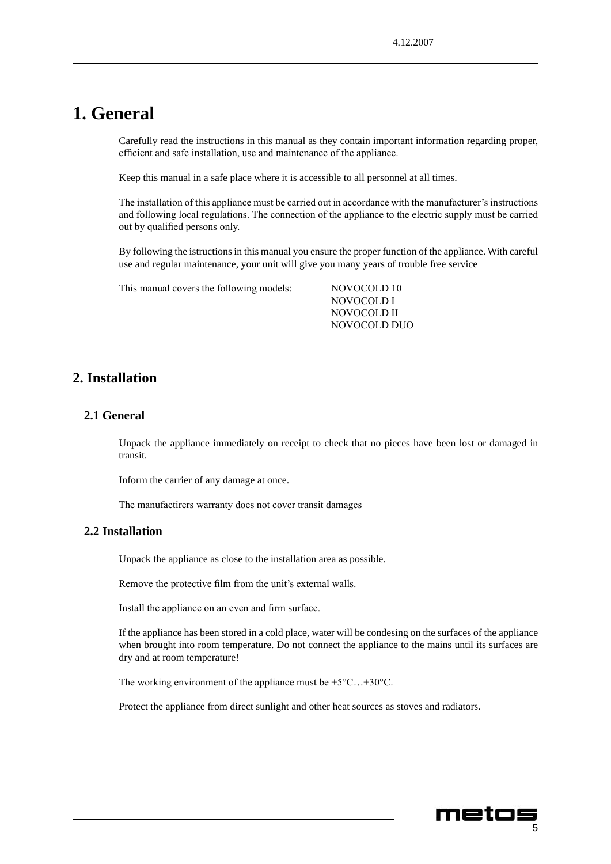# **1. General**

Carefully read the instructions in this manual as they contain important information regarding proper, efficient and safe installation, use and maintenance of the appliance.

Keep this manual in a safe place where it is accessible to all personnel at all times.

The installation of this appliance must be carried out in accordance with the manufacturer's instructions and following local regulations. The connection of the appliance to the electric supply must be carried out by qualified persons only.

By following the istructions in this manual you ensure the proper function of the appliance. With careful use and regular maintenance, your unit will give you many years of trouble free service

This manual covers the following models: NOVOCOLD 10

NOVOCOLD I NOVOCOLD II NOVOCOLD DUO

## **2. Installation**

#### **2.1 General**

Unpack the appliance immediately on receipt to check that no pieces have been lost or damaged in transit.

Inform the carrier of any damage at once.

The manufactirers warranty does not cover transit damages

#### **2.2 Installation**

Unpack the appliance as close to the installation area as possible.

Remove the protective film from the unit's external walls.

Install the appliance on an even and firm surface.

If the appliance has been stored in a cold place, water will be condesing on the surfaces of the appliance when brought into room temperature. Do not connect the appliance to the mains until its surfaces are dry and at room temperature!

The working environment of the appliance must be  $+5^{\circ}$ C... $+30^{\circ}$ C.

Protect the appliance from direct sunlight and other heat sources as stoves and radiators.

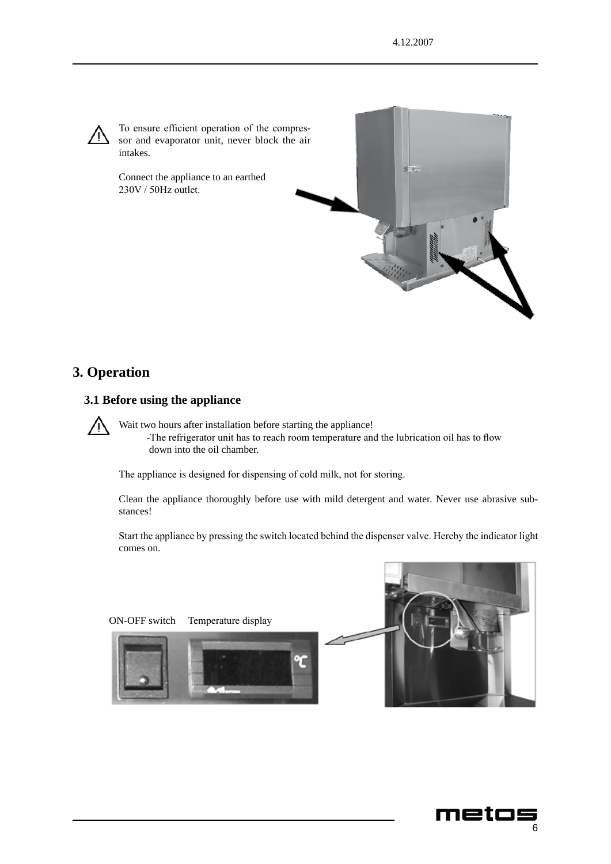To ensure efficient operation of the compressor and evaporator unit, never block the air intakes.

Connect the appliance to an earthed 230V / 50Hz outlet.



# **3. Operation**

### **3.1 Before using the appliance**

Wait two hours after installation before starting the appliance! -The refrigerator unit has to reach room temperature and the lubrication oil has to flow down into the oil chamber.

The appliance is designed for dispensing of cold milk, not for storing.

Clean the appliance thoroughly before use with mild detergent and water. Never use abrasive substances!

Start the appliance by pressing the switch located behind the dispenser valve. Hereby the indicator light comes on.

ON-OFF switch Temperature display





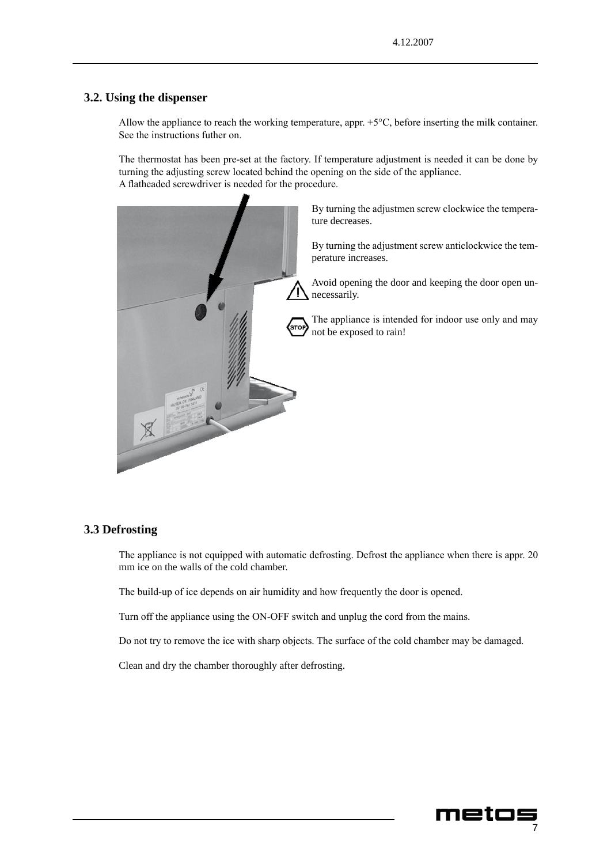#### **3.2. Using the dispenser**

Allow the appliance to reach the working temperature, appr. +5°C, before inserting the milk container. See the instructions futher on.

The thermostat has been pre-set at the factory. If temperature adjustment is needed it can be done by turning the adjusting screw located behind the opening on the side of the appliance. A flatheaded screwdriver is needed for the procedure.



#### **3.3 Defrosting**

The appliance is not equipped with automatic defrosting. Defrost the appliance when there is appr. 20 mm ice on the walls of the cold chamber.

The build-up of ice depends on air humidity and how frequently the door is opened.

Turn off the appliance using the ON-OFF switch and unplug the cord from the mains.

Do not try to remove the ice with sharp objects. The surface of the cold chamber may be damaged.

Clean and dry the chamber thoroughly after defrosting.

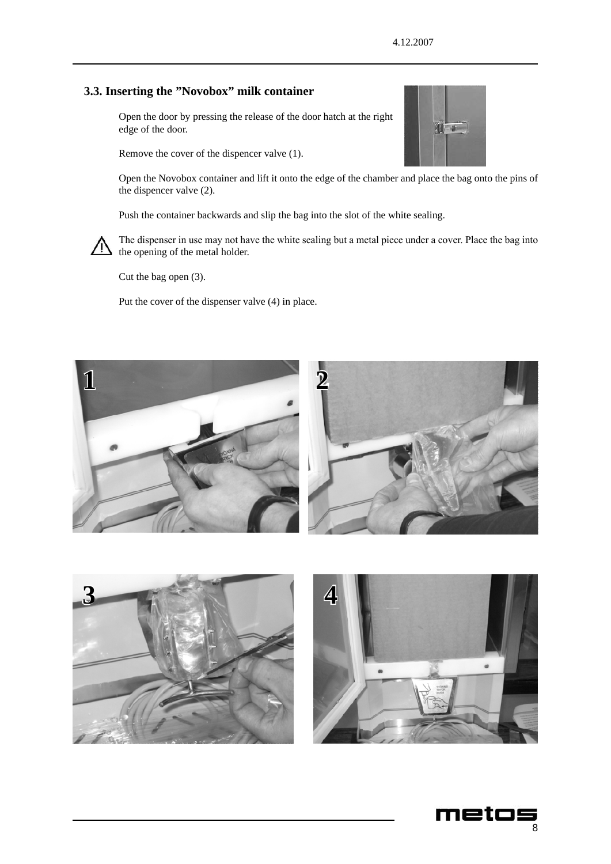## **3.3. Inserting the "Novobox" milk container**

Open the door by pressing the release of the door hatch at the right edge of the door.

Remove the cover of the dispencer valve (1).



Open the Novobox container and lift it onto the edge of the chamber and place the bag onto the pins of the dispencer valve (2).

Push the container backwards and slip the bag into the slot of the white sealing.

The dispenser in use may not have the white sealing but a metal piece under a cover. Place the bag into  $\blacktriangle$  the opening of the metal holder.

Cut the bag open (3).

Put the cover of the dispenser valve (4) in place.







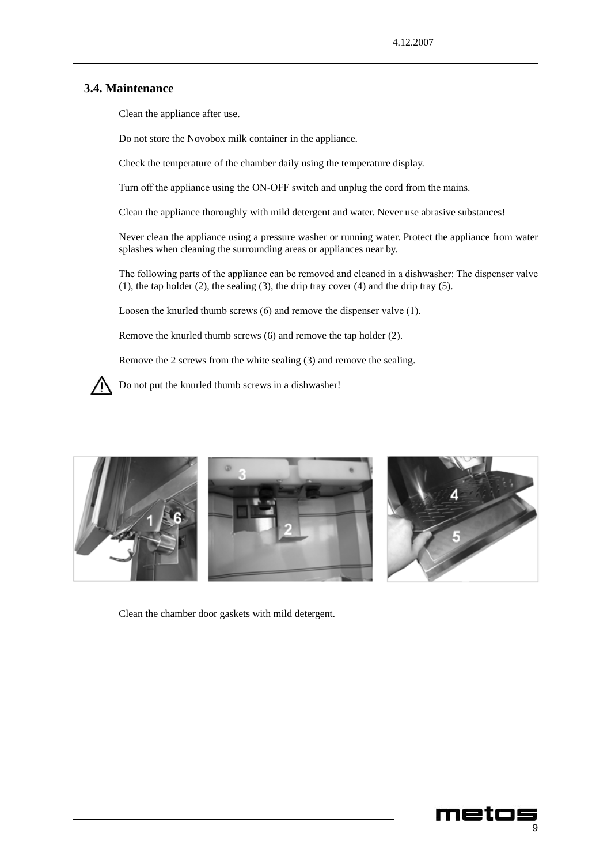#### **3.4. Maintenance**

Clean the appliance after use.

Do not store the Novobox milk container in the appliance.

Check the temperature of the chamber daily using the temperature display.

Turn off the appliance using the ON-OFF switch and unplug the cord from the mains.

Clean the appliance thoroughly with mild detergent and water. Never use abrasive substances!

Never clean the appliance using a pressure washer or running water. Protect the appliance from water splashes when cleaning the surrounding areas or appliances near by.

The following parts of the appliance can be removed and cleaned in a dishwasher: The dispenser valve (1), the tap holder (2), the sealing (3), the drip tray cover (4) and the drip tray (5).

Loosen the knurled thumb screws (6) and remove the dispenser valve (1).

Remove the knurled thumb screws (6) and remove the tap holder (2).

Remove the 2 screws from the white sealing (3) and remove the sealing.

Do not put the knurled thumb screws in a dishwasher!



Clean the chamber door gaskets with mild detergent.

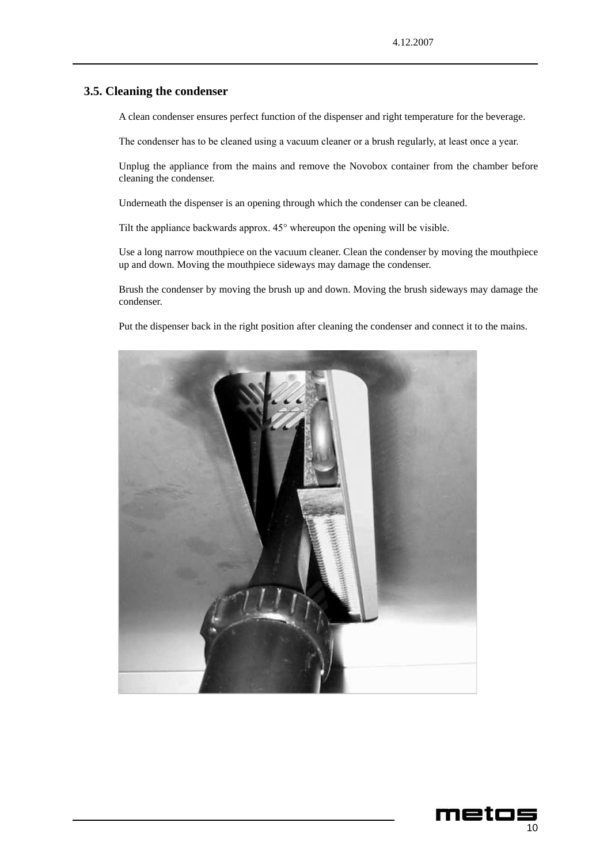#### **3.5. Cleaning the condenser**

A clean condenser ensures perfect function of the dispenser and right temperature for the beverage.

The condenser has to be cleaned using a vacuum cleaner or a brush regularly, at least once a year.

Unplug the appliance from the mains and remove the Novobox container from the chamber before cleaning the condenser.

Underneath the dispenser is an opening through which the condenser can be cleaned.

Tilt the appliance backwards approx. 45° whereupon the opening will be visible.

Use a long narrow mouthpiece on the vacuum cleaner. Clean the condenser by moving the mouthpiece up and down. Moving the mouthpiece sideways may damage the condenser.

Brush the condenser by moving the brush up and down. Moving the brush sideways may damage the condenser.

Put the dispenser back in the right position after cleaning the condenser and connect it to the mains.